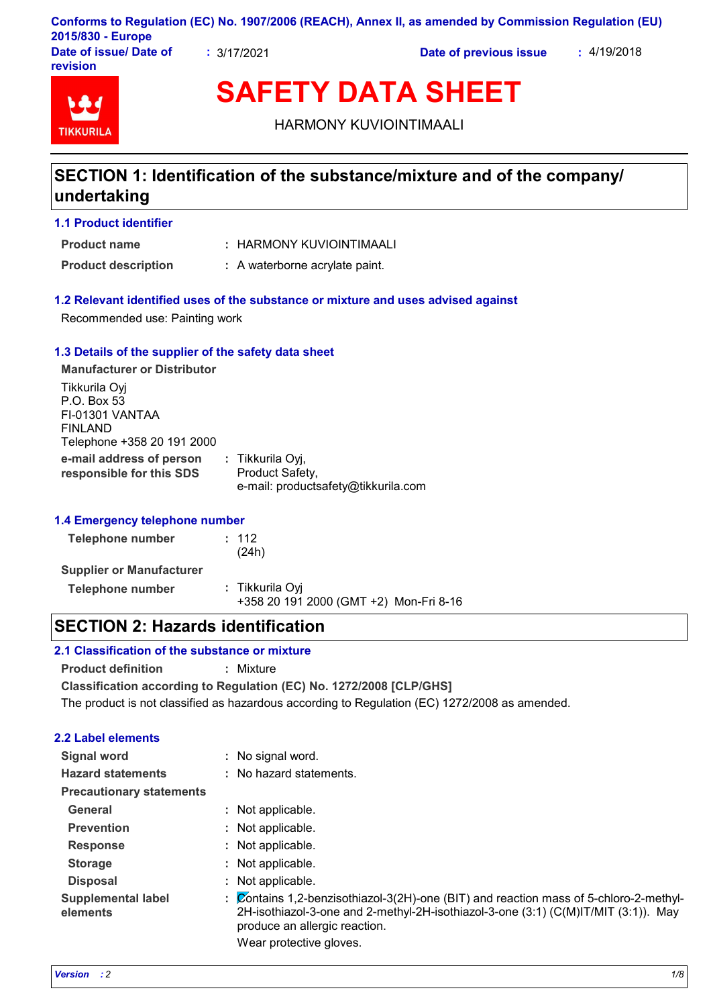| 2015/830 - Europe                  |             | Conforms to Regulation (EC) No. 1907/2006 (REACH), Annex II, as amended by Commission Regulation (EU) |             |
|------------------------------------|-------------|-------------------------------------------------------------------------------------------------------|-------------|
| Date of issue/ Date of<br>revision | : 3/17/2021 | Date of previous issue                                                                                | : 4/19/2018 |

# **TIKKURIL**

**SAFETY DATA SHEET**

HARMONY KUVIOINTIMAALI

# **SECTION 1: Identification of the substance/mixture and of the company/ undertaking**

#### **1.1 Product identifier**

HARMONY KUVIOINTIMAALI **: Product name**

**Product description :** A waterborne acrylate paint.

#### **1.2 Relevant identified uses of the substance or mixture and uses advised against**

Recommended use: Painting work

#### **1.3 Details of the supplier of the safety data sheet**

**e-mail address of person responsible for this SDS :** Tikkurila Oyj, Product Safety, e-mail: productsafety@tikkurila.com **Manufacturer or Distributor** Tikkurila Oyj P.O. Box 53 FI-01301 VANTAA FINLAND Telephone +358 20 191 2000

#### **1.4 Emergency telephone number**

| Telephone number                | : 112<br>(24h)                                            |
|---------------------------------|-----------------------------------------------------------|
| <b>Supplier or Manufacturer</b> |                                                           |
| Telephone number                | : Tikkurila Oyi<br>+358 20 191 2000 (GMT +2) Mon-Fri 8-16 |

# **SECTION 2: Hazards identification**

#### **2.1 Classification of the substance or mixture**

**Product definition :** Mixture

**Classification according to Regulation (EC) No. 1272/2008 [CLP/GHS]**

The product is not classified as hazardous according to Regulation (EC) 1272/2008 as amended.

#### **2.2 Label elements**

| <b>Signal word</b>                    |    | : No signal word.                                                                                                                                                                                                                  |
|---------------------------------------|----|------------------------------------------------------------------------------------------------------------------------------------------------------------------------------------------------------------------------------------|
| <b>Hazard statements</b>              |    | : No hazard statements.                                                                                                                                                                                                            |
| <b>Precautionary statements</b>       |    |                                                                                                                                                                                                                                    |
| General                               |    | : Not applicable.                                                                                                                                                                                                                  |
| <b>Prevention</b>                     |    | Not applicable.                                                                                                                                                                                                                    |
| <b>Response</b>                       |    | Not applicable.                                                                                                                                                                                                                    |
| <b>Storage</b>                        |    | Not applicable.                                                                                                                                                                                                                    |
| <b>Disposal</b>                       |    | Not applicable.                                                                                                                                                                                                                    |
| <b>Supplemental label</b><br>elements | ÷. | $\overline{\mathcal{C}}$ ontains 1,2-benzisothiazol-3(2H)-one (BIT) and reaction mass of 5-chloro-2-methyl-<br>2H-isothiazol-3-one and 2-methyl-2H-isothiazol-3-one (3:1) (C(M)IT/MIT (3:1)). May<br>produce an allergic reaction. |
|                                       |    | $Maxaxx + bax + baxabax + baxba$                                                                                                                                                                                                   |

Wear protective gloves.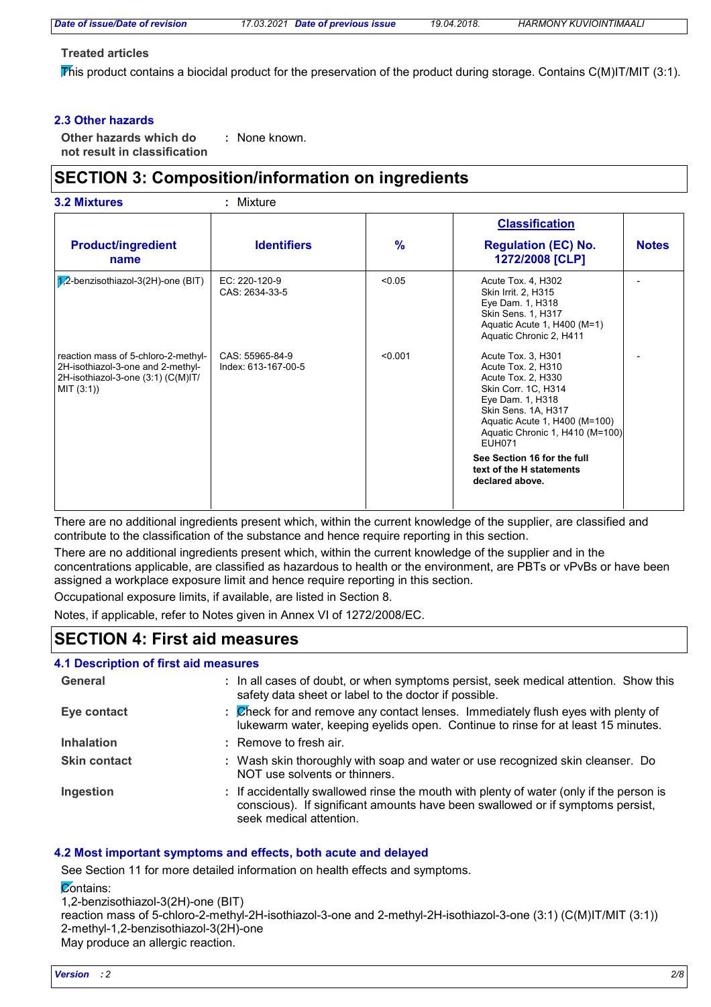*Date of issue/Date of revision 17.03.2021 Date of previous issue 19.04.2018. HARMONY KUVIOINTIMAALI*

#### **Treated articles**

This product contains a biocidal product for the preservation of the product during storage. Contains C(M)IT/MIT (3:1).

#### **2.3 Other hazards**

**Other hazards which do : not result in classification** : None known.

# **SECTION 3: Composition/information on ingredients**

|                                                                                                                           |                                        |               | <b>Classification</b>                                                                                                                                                                                                 |              |
|---------------------------------------------------------------------------------------------------------------------------|----------------------------------------|---------------|-----------------------------------------------------------------------------------------------------------------------------------------------------------------------------------------------------------------------|--------------|
| <b>Product/ingredient</b><br>name                                                                                         | <b>Identifiers</b>                     | $\frac{9}{6}$ | <b>Regulation (EC) No.</b><br>1272/2008 [CLP]                                                                                                                                                                         | <b>Notes</b> |
| $7,2$ -benzisothiazol-3(2H)-one (BIT)                                                                                     | EC: 220-120-9<br>CAS: 2634-33-5        | < 0.05        | Acute Tox. 4, H302<br>Skin Irrit. 2, H315<br>Eye Dam. 1, H318<br>Skin Sens. 1, H317<br>Aquatic Acute 1, H400 (M=1)<br>Aquatic Chronic 2, H411                                                                         |              |
| reaction mass of 5-chloro-2-methyl-<br>2H-isothiazol-3-one and 2-methyl-<br>2H-isothiazol-3-one (3:1) (C(M)IT/<br>MI(3:1) | CAS: 55965-84-9<br>Index: 613-167-00-5 | < 0.001       | Acute Tox. 3, H301<br>Acute Tox. 2, H310<br>Acute Tox. 2, H330<br>Skin Corr. 1C, H314<br>Eye Dam. 1, H318<br>Skin Sens. 1A, H317<br>Aquatic Acute 1, H400 (M=100)<br>Aquatic Chronic 1, H410 (M=100)<br><b>EUH071</b> |              |
|                                                                                                                           |                                        |               | See Section 16 for the full<br>text of the H statements<br>declared above.                                                                                                                                            |              |

There are no additional ingredients present which, within the current knowledge of the supplier, are classified and contribute to the classification of the substance and hence require reporting in this section.

There are no additional ingredients present which, within the current knowledge of the supplier and in the concentrations applicable, are classified as hazardous to health or the environment, are PBTs or vPvBs or have been assigned a workplace exposure limit and hence require reporting in this section.

Occupational exposure limits, if available, are listed in Section 8.

Notes, if applicable, refer to Notes given in Annex VI of 1272/2008/EC.

# **SECTION 4: First aid measures**

#### **4.1 Description of first aid measures**

| General             | : In all cases of doubt, or when symptoms persist, seek medical attention. Show this<br>safety data sheet or label to the doctor if possible.                                                        |
|---------------------|------------------------------------------------------------------------------------------------------------------------------------------------------------------------------------------------------|
| Eye contact         | : Check for and remove any contact lenses. Immediately flush eyes with plenty of<br>lukewarm water, keeping eyelids open. Continue to rinse for at least 15 minutes.                                 |
| <b>Inhalation</b>   | : Remove to fresh air.                                                                                                                                                                               |
| <b>Skin contact</b> | : Wash skin thoroughly with soap and water or use recognized skin cleanser. Do<br>NOT use solvents or thinners.                                                                                      |
| Ingestion           | : If accidentally swallowed rinse the mouth with plenty of water (only if the person is<br>conscious). If significant amounts have been swallowed or if symptoms persist,<br>seek medical attention. |

#### **4.2 Most important symptoms and effects, both acute and delayed**

See Section 11 for more detailed information on health effects and symptoms.

 $\overline{\mathcal{C}}$ ontains:

1,2-benzisothiazol-3(2H)-one (BIT)

reaction mass of 5-chloro-2-methyl-2H-isothiazol-3-one and 2-methyl-2H-isothiazol-3-one (3:1) (C(M)IT/MIT (3:1)) 2-methyl-1,2-benzisothiazol-3(2H)-one May produce an allergic reaction.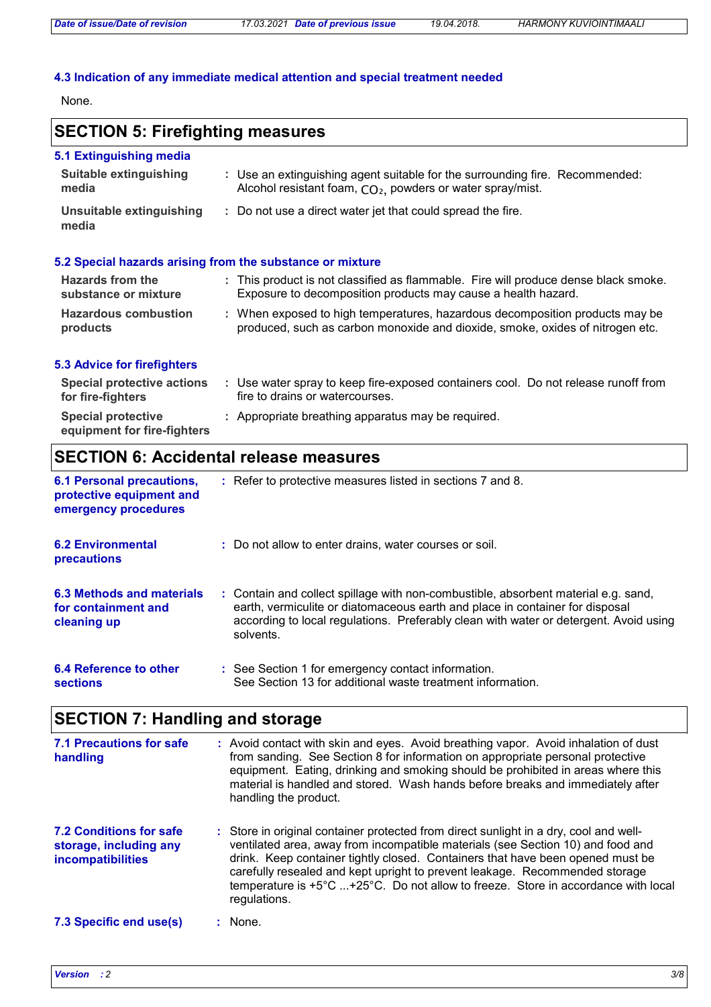#### **4.3 Indication of any immediate medical attention and special treatment needed**

None.

# **SECTION 5: Firefighting measures**

| 5.1 Extinguishing media           |                                                                                                                                                        |
|-----------------------------------|--------------------------------------------------------------------------------------------------------------------------------------------------------|
| Suitable extinguishing<br>media   | : Use an extinguishing agent suitable for the surrounding fire. Recommended:<br>Alcohol resistant foam, CO <sub>2</sub> , powders or water spray/mist. |
| Unsuitable extinguishing<br>media | : Do not use a direct water jet that could spread the fire.                                                                                            |
|                                   |                                                                                                                                                        |

#### **5.2 Special hazards arising from the substance or mixture**

| <b>Hazards from the</b><br>substance or mixture | : This product is not classified as flammable. Fire will produce dense black smoke.<br>Exposure to decomposition products may cause a health hazard.          |
|-------------------------------------------------|---------------------------------------------------------------------------------------------------------------------------------------------------------------|
| <b>Hazardous combustion</b><br>products         | : When exposed to high temperatures, hazardous decomposition products may be<br>produced, such as carbon monoxide and dioxide, smoke, oxides of nitrogen etc. |

#### **5.3 Advice for firefighters**

| Special protective actions<br>for fire-fighters          | Use water spray to keep fire-exposed containers cool. Do not release runoff from<br>fire to drains or watercourses. |
|----------------------------------------------------------|---------------------------------------------------------------------------------------------------------------------|
| <b>Special protective</b><br>equipment for fire-fighters | : Appropriate breathing apparatus may be required.                                                                  |

# **SECTION 6: Accidental release measures**

| <b>6.1 Personal precautions,</b><br>protective equipment and<br>emergency procedures | : Refer to protective measures listed in sections 7 and 8.                                                                                                                                                                                                               |
|--------------------------------------------------------------------------------------|--------------------------------------------------------------------------------------------------------------------------------------------------------------------------------------------------------------------------------------------------------------------------|
| <b>6.2 Environmental</b><br>precautions                                              | : Do not allow to enter drains, water courses or soil.                                                                                                                                                                                                                   |
| 6.3 Methods and materials<br>for containment and<br>cleaning up                      | : Contain and collect spillage with non-combustible, absorbent material e.g. sand,<br>earth, vermiculite or diatomaceous earth and place in container for disposal<br>according to local regulations. Preferably clean with water or detergent. Avoid using<br>solvents. |
| 6.4 Reference to other<br><b>sections</b>                                            | : See Section 1 for emergency contact information.<br>See Section 13 for additional waste treatment information.                                                                                                                                                         |

# **SECTION 7: Handling and storage**

| 7.1 Precautions for safe<br>handling                                                 | : Avoid contact with skin and eyes. Avoid breathing vapor. Avoid inhalation of dust<br>from sanding. See Section 8 for information on appropriate personal protective<br>equipment. Eating, drinking and smoking should be prohibited in areas where this<br>material is handled and stored. Wash hands before breaks and immediately after<br>handling the product.                                                                           |
|--------------------------------------------------------------------------------------|------------------------------------------------------------------------------------------------------------------------------------------------------------------------------------------------------------------------------------------------------------------------------------------------------------------------------------------------------------------------------------------------------------------------------------------------|
| <b>7.2 Conditions for safe</b><br>storage, including any<br><b>incompatibilities</b> | : Store in original container protected from direct sunlight in a dry, cool and well-<br>ventilated area, away from incompatible materials (see Section 10) and food and<br>drink. Keep container tightly closed. Containers that have been opened must be<br>carefully resealed and kept upright to prevent leakage. Recommended storage<br>temperature is +5°C +25°C. Do not allow to freeze. Store in accordance with local<br>regulations. |
| 7.3 Specific end use(s)                                                              | : None.                                                                                                                                                                                                                                                                                                                                                                                                                                        |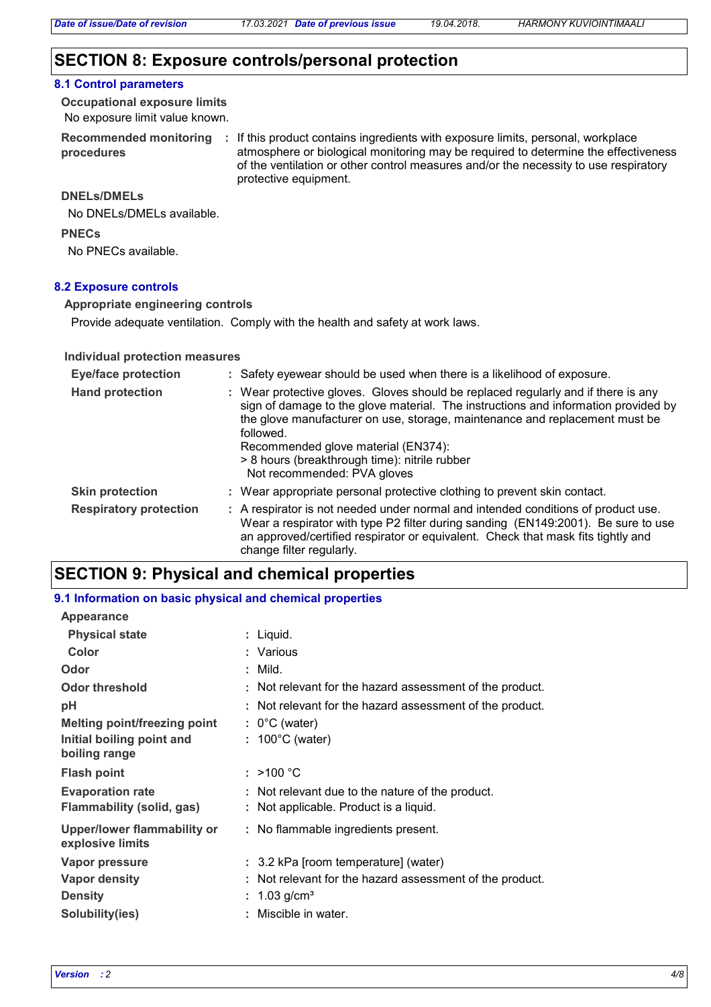## **SECTION 8: Exposure controls/personal protection**

#### **8.1 Control parameters**

No exposure limit value known. **Occupational exposure limits**

**Recommended monitoring procedures**

: If this product contains ingredients with exposure limits, personal, workplace atmosphere or biological monitoring may be required to determine the effectiveness of the ventilation or other control measures and/or the necessity to use respiratory protective equipment.

#### **DNELs/DMELs**

No DNELs/DMELs available.

**PNECs**

No PNECs available.

#### **8.2 Exposure controls**

**Appropriate engineering controls**

Provide adequate ventilation. Comply with the health and safety at work laws.

#### **Individual protection measures**

| <b>Eye/face protection</b>    | : Safety eyewear should be used when there is a likelihood of exposure.                                                                                                                                                                                                                                                                                                                    |
|-------------------------------|--------------------------------------------------------------------------------------------------------------------------------------------------------------------------------------------------------------------------------------------------------------------------------------------------------------------------------------------------------------------------------------------|
| <b>Hand protection</b>        | : Wear protective gloves. Gloves should be replaced regularly and if there is any<br>sign of damage to the glove material. The instructions and information provided by<br>the glove manufacturer on use, storage, maintenance and replacement must be<br>followed.<br>Recommended glove material (EN374):<br>> 8 hours (breakthrough time): nitrile rubber<br>Not recommended: PVA gloves |
| <b>Skin protection</b>        | : Wear appropriate personal protective clothing to prevent skin contact.                                                                                                                                                                                                                                                                                                                   |
| <b>Respiratory protection</b> | : A respirator is not needed under normal and intended conditions of product use.<br>Wear a respirator with type P2 filter during sanding (EN149:2001). Be sure to use<br>an approved/certified respirator or equivalent. Check that mask fits tightly and<br>change filter regularly.                                                                                                     |

# **SECTION 9: Physical and chemical properties**

#### **9.1 Information on basic physical and chemical properties**

| <b>Appearance</b>                                      |                                                                                            |
|--------------------------------------------------------|--------------------------------------------------------------------------------------------|
| <b>Physical state</b>                                  | : Liquid.                                                                                  |
| Color                                                  | : Various                                                                                  |
| Odor                                                   | $:$ Mild.                                                                                  |
| <b>Odor threshold</b>                                  | : Not relevant for the hazard assessment of the product.                                   |
| рH                                                     | : Not relevant for the hazard assessment of the product.                                   |
| Melting point/freezing point                           | $: 0^{\circ}$ C (water)                                                                    |
| Initial boiling point and<br>boiling range             | $: 100^{\circ}$ C (water)                                                                  |
| <b>Flash point</b>                                     | : $>100 °C$                                                                                |
| <b>Evaporation rate</b><br>Flammability (solid, gas)   | : Not relevant due to the nature of the product.<br>: Not applicable. Product is a liquid. |
| <b>Upper/lower flammability or</b><br>explosive limits | : No flammable ingredients present.                                                        |
| Vapor pressure                                         | : 3.2 kPa [room temperature] (water)                                                       |
| <b>Vapor density</b>                                   | Not relevant for the hazard assessment of the product.                                     |
| <b>Density</b>                                         | 1.03 g/cm <sup>3</sup><br>÷.                                                               |
| Solubility(ies)                                        | Miscible in water.                                                                         |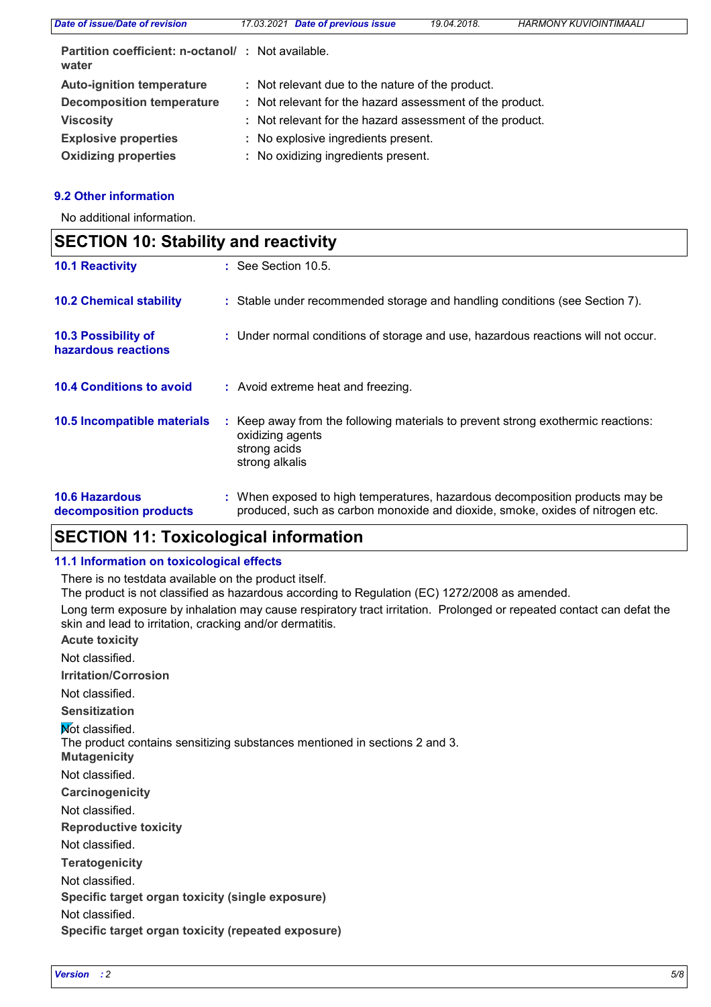| Date of issue/Date of revision                             | 17.03.2021 Date of previous issue                        | 19.04.2018. | <b>HARMONY KUVIOINTIMAALI</b> |
|------------------------------------------------------------|----------------------------------------------------------|-------------|-------------------------------|
| Partition coefficient: n-octanol/: Not available.<br>water |                                                          |             |                               |
| <b>Auto-ignition temperature</b>                           | : Not relevant due to the nature of the product.         |             |                               |
| <b>Decomposition temperature</b>                           | : Not relevant for the hazard assessment of the product. |             |                               |
| <b>Viscosity</b>                                           | : Not relevant for the hazard assessment of the product. |             |                               |
| <b>Explosive properties</b>                                | : No explosive ingredients present.                      |             |                               |
| <b>Oxidizing properties</b>                                | : No oxidizing ingredients present.                      |             |                               |

#### **9.2 Other information**

 $\mathsf{r}$ 

No additional information.

| <b>SECTION 10: Stability and reactivity</b>       |  |                                                                                                                                                               |
|---------------------------------------------------|--|---------------------------------------------------------------------------------------------------------------------------------------------------------------|
| <b>10.1 Reactivity</b>                            |  | $\therefore$ See Section 10.5.                                                                                                                                |
| <b>10.2 Chemical stability</b>                    |  | : Stable under recommended storage and handling conditions (see Section 7).                                                                                   |
| <b>10.3 Possibility of</b><br>hazardous reactions |  | : Under normal conditions of storage and use, hazardous reactions will not occur.                                                                             |
| <b>10.4 Conditions to avoid</b>                   |  | : Avoid extreme heat and freezing.                                                                                                                            |
| 10.5 Incompatible materials                       |  | : Keep away from the following materials to prevent strong exothermic reactions:<br>oxidizing agents<br>strong acids<br>strong alkalis                        |
| <b>10.6 Hazardous</b><br>decomposition products   |  | : When exposed to high temperatures, hazardous decomposition products may be<br>produced, such as carbon monoxide and dioxide, smoke, oxides of nitrogen etc. |

# **SECTION 11: Toxicological information**

#### **11.1 Information on toxicological effects**

There is no testdata available on the product itself.

The product is not classified as hazardous according to Regulation (EC) 1272/2008 as amended.

Long term exposure by inhalation may cause respiratory tract irritation. Prolonged or repeated contact can defat the skin and lead to irritation, cracking and/or dermatitis.

**Acute toxicity Irritation/Corrosion Sensitization** Not classified. Not classified.

**Not classified.** 

The product contains sensitizing substances mentioned in sections 2 and 3.

**Mutagenicity**

Not classified.

**Carcinogenicity**

Not classified.

**Reproductive toxicity**

Not classified.

**Teratogenicity**

Not classified.

**Specific target organ toxicity (single exposure)**

Not classified.

**Specific target organ toxicity (repeated exposure)**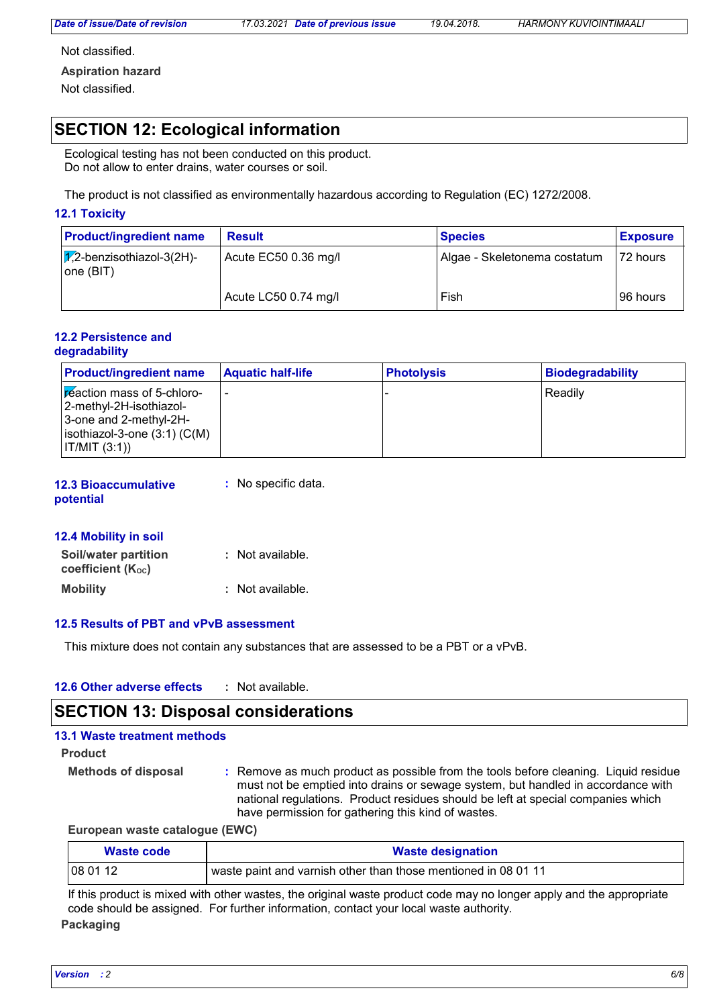*Date of issue/Date of revision 17.03.2021 Date of previous issue 19.04.2018. HARMONY KUVIOINTIMAALI*

Not classified.

**Aspiration hazard**

Not classified.

# **SECTION 12: Ecological information**

Ecological testing has not been conducted on this product. Do not allow to enter drains, water courses or soil.

The product is not classified as environmentally hazardous according to Regulation (EC) 1272/2008.

#### **12.1 Toxicity**

| <b>Product/ingredient name</b>               | <b>Result</b>        | <b>Species</b>               | <b>Exposure</b> |
|----------------------------------------------|----------------------|------------------------------|-----------------|
| $ \chi$ 2-benzisothiazol-3(2H)-<br>one (BIT) | Acute EC50 0.36 mg/l | Algae - Skeletonema costatum | 72 hours        |
|                                              | Acute LC50 0.74 mg/l | Fish                         | 96 hours        |

#### **12.2 Persistence and degradability**

| <b>Product/ingredient name</b>                                                                                                    | <b>Aquatic half-life</b> | <b>Photolysis</b> | <b>Biodegradability</b> |
|-----------------------------------------------------------------------------------------------------------------------------------|--------------------------|-------------------|-------------------------|
| Feaction mass of 5-chloro-<br> 2-methyl-2H-isothiazol-<br>3-one and 2-methyl-2H-<br>$isothiazol-3-one(3:1)(C(M))$<br> IT/MIT(3:1) | -                        |                   | Readily                 |

**12.3 Bioaccumulative potential :** No specific data.

#### **12.4 Mobility in soil**

| Soil/water partition<br><b>coefficient (Koc)</b> | : Not available. |
|--------------------------------------------------|------------------|
| <b>Mobility</b>                                  | : Not available. |

#### **12.5 Results of PBT and vPvB assessment**

This mixture does not contain any substances that are assessed to be a PBT or a vPvB.

| 12.6 Other adverse effects | Not available. |
|----------------------------|----------------|
|----------------------------|----------------|

### **SECTION 13: Disposal considerations**

#### **13.1 Waste treatment methods**

**Product**

- **Methods of disposal :**
	- Remove as much product as possible from the tools before cleaning. Liquid residue must not be emptied into drains or sewage system, but handled in accordance with national regulations. Product residues should be left at special companies which have permission for gathering this kind of wastes.

**European waste catalogue (EWC)**

| Waste code | <b>Waste designation</b>                                       |
|------------|----------------------------------------------------------------|
| 08 01 12   | waste paint and varnish other than those mentioned in 08 01 11 |

If this product is mixed with other wastes, the original waste product code may no longer apply and the appropriate code should be assigned. For further information, contact your local waste authority.

#### **Packaging**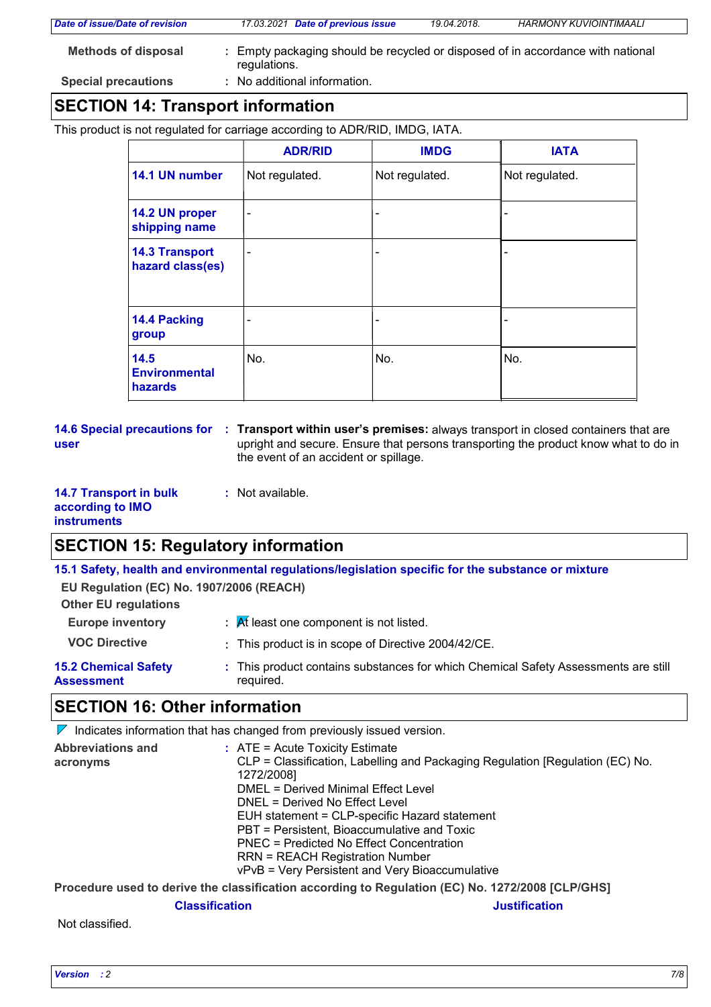| $\begin{array}{c} \n\mathbf{A} \mathbf{F} \mathbf{A} \mathbf{F} \mathbf{A} \mathbf{F} \mathbf{A} \mathbf{F} \mathbf{A} \mathbf{F} \mathbf{F} \mathbf{F} \mathbf{F} \mathbf{F} \mathbf{F} \mathbf{F} \mathbf{F} \mathbf{F} \mathbf{F} \mathbf{F} \mathbf{F} \mathbf{F} \mathbf{F} \mathbf{F} \mathbf{F} \mathbf{F} \mathbf{F} \mathbf{F} \mathbf{F} \mathbf{F} \mathbf{F} \mathbf{F} \mathbf{F} \mathbf{F} \mathbf{F} \$ |                                                                                                 |             |                               |  |
|-------------------------------------------------------------------------------------------------------------------------------------------------------------------------------------------------------------------------------------------------------------------------------------------------------------------------------------------------------------------------------------------------------------------------|-------------------------------------------------------------------------------------------------|-------------|-------------------------------|--|
| <b>Special precautions</b>                                                                                                                                                                                                                                                                                                                                                                                              | : No additional information.                                                                    |             |                               |  |
| <b>Methods of disposal</b>                                                                                                                                                                                                                                                                                                                                                                                              | : Empty packaging should be recycled or disposed of in accordance with national<br>regulations. |             |                               |  |
| Date of issue/Date of revision                                                                                                                                                                                                                                                                                                                                                                                          | 17.03.2021 Date of previous issue                                                               | 19.04.2018. | <b>HARMONY KUVIOINTIMAALI</b> |  |
|                                                                                                                                                                                                                                                                                                                                                                                                                         |                                                                                                 |             |                               |  |

# **SECTION 14: Transport information**

This product is not regulated for carriage according to ADR/RID, IMDG, IATA.

|                                                | <b>ADR/RID</b>               | <b>IMDG</b>              | <b>IATA</b>    |
|------------------------------------------------|------------------------------|--------------------------|----------------|
| 14.1 UN number                                 | Not regulated.               | Not regulated.           | Not regulated. |
| 14.2 UN proper<br>shipping name                | $\overline{\phantom{a}}$     | $\overline{\phantom{a}}$ |                |
| <b>14.3 Transport</b><br>hazard class(es)      | $\qquad \qquad \blacksquare$ | $\qquad \qquad$          |                |
| 14.4 Packing<br>group                          |                              | -                        |                |
| 14.5<br><b>Environmental</b><br><b>hazards</b> | No.                          | No.                      | No.            |

**user**

**14.6 Special precautions for : Transport within user's premises: always transport in closed containers that are** upright and secure. Ensure that persons transporting the product know what to do in the event of an accident or spillage.

| <b>14.7 Transport in bulk</b> |  |
|-------------------------------|--|
| according to IMO              |  |
| <b>instruments</b>            |  |

# **SECTION 15: Regulatory information**

**:** Not available.

**15.1 Safety, health and environmental regulations/legislation specific for the substance or mixture EU Regulation (EC) No. 1907/2006 (REACH)**

| <b>Other EU regulations</b>                      |                                                                                                 |
|--------------------------------------------------|-------------------------------------------------------------------------------------------------|
| <b>Europe inventory</b>                          | $\mathcal{A}$ R least one component is not listed.                                              |
| <b>VOC Directive</b>                             | : This product is in scope of Directive 2004/42/CE.                                             |
| <b>15.2 Chemical Safety</b><br><b>Assessment</b> | : This product contains substances for which Chemical Safety Assessments are still<br>required. |

# **SECTION 16: Other information**

| $\mathbb{Z}$                         | Indicates information that has changed from previously issued version.                                                                                                                                                                                                                                                                                                                                                                                      |
|--------------------------------------|-------------------------------------------------------------------------------------------------------------------------------------------------------------------------------------------------------------------------------------------------------------------------------------------------------------------------------------------------------------------------------------------------------------------------------------------------------------|
| <b>Abbreviations and</b><br>acronyms | $\therefore$ ATE = Acute Toxicity Estimate<br>CLP = Classification, Labelling and Packaging Regulation [Regulation (EC) No.<br>1272/2008]<br>DMEL = Derived Minimal Effect Level<br>DNEL = Derived No Effect Level<br>EUH statement = CLP-specific Hazard statement<br>PBT = Persistent, Bioaccumulative and Toxic<br>PNEC = Predicted No Effect Concentration<br><b>RRN = REACH Registration Number</b><br>vPvB = Very Persistent and Very Bioaccumulative |
|                                      | Procedure used to derive the classification according to Regulation (EC) No. 1272/2008 [CLP/GHS]                                                                                                                                                                                                                                                                                                                                                            |

#### **Classification Justification**

Not classified.